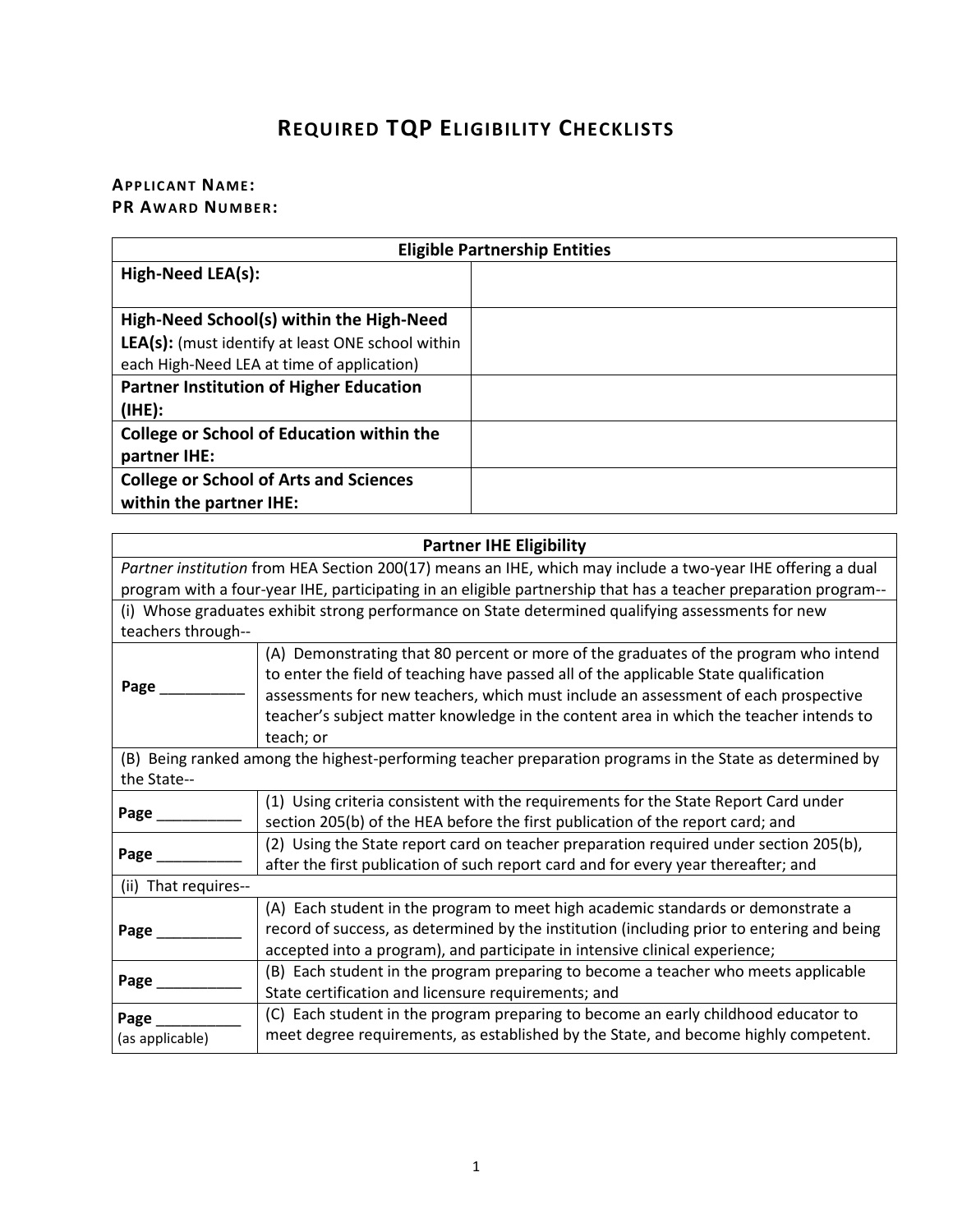## **REQUIRED TQP ELIGIBILITY CHECKLISTS**

## **APPLICANT NAME: PR AWARD NUMBER:**

| <b>Eligible Partnership Entities</b>                     |  |  |
|----------------------------------------------------------|--|--|
| High-Need LEA(s):                                        |  |  |
|                                                          |  |  |
| High-Need School(s) within the High-Need                 |  |  |
| <b>LEA(s):</b> (must identify at least ONE school within |  |  |
| each High-Need LEA at time of application)               |  |  |
| <b>Partner Institution of Higher Education</b>           |  |  |
| (IHE):                                                   |  |  |
| <b>College or School of Education within the</b>         |  |  |
| partner IHE:                                             |  |  |
| <b>College or School of Arts and Sciences</b>            |  |  |
| within the partner IHE:                                  |  |  |

| <b>Partner IHE Eligibility</b>                                                                                  |                                                                                                                                                                              |  |
|-----------------------------------------------------------------------------------------------------------------|------------------------------------------------------------------------------------------------------------------------------------------------------------------------------|--|
| Partner institution from HEA Section 200(17) means an IHE, which may include a two-year IHE offering a dual     |                                                                                                                                                                              |  |
| program with a four-year IHE, participating in an eligible partnership that has a teacher preparation program-- |                                                                                                                                                                              |  |
| (i) Whose graduates exhibit strong performance on State determined qualifying assessments for new               |                                                                                                                                                                              |  |
| teachers through--                                                                                              |                                                                                                                                                                              |  |
|                                                                                                                 | (A) Demonstrating that 80 percent or more of the graduates of the program who intend<br>to enter the field of teaching have passed all of the applicable State qualification |  |
| Page                                                                                                            | assessments for new teachers, which must include an assessment of each prospective                                                                                           |  |
|                                                                                                                 | teacher's subject matter knowledge in the content area in which the teacher intends to<br>teach; or                                                                          |  |
|                                                                                                                 | (B) Being ranked among the highest-performing teacher preparation programs in the State as determined by                                                                     |  |
| the State--                                                                                                     |                                                                                                                                                                              |  |
| Page_                                                                                                           | (1) Using criteria consistent with the requirements for the State Report Card under                                                                                          |  |
|                                                                                                                 | section 205(b) of the HEA before the first publication of the report card; and                                                                                               |  |
| Page                                                                                                            | (2) Using the State report card on teacher preparation required under section 205(b),                                                                                        |  |
|                                                                                                                 | after the first publication of such report card and for every year thereafter; and                                                                                           |  |
| (ii) That requires--                                                                                            |                                                                                                                                                                              |  |
|                                                                                                                 | (A) Each student in the program to meet high academic standards or demonstrate a                                                                                             |  |
| Page_                                                                                                           | record of success, as determined by the institution (including prior to entering and being                                                                                   |  |
|                                                                                                                 | accepted into a program), and participate in intensive clinical experience;                                                                                                  |  |
| Page_                                                                                                           | (B) Each student in the program preparing to become a teacher who meets applicable                                                                                           |  |
|                                                                                                                 | State certification and licensure requirements; and                                                                                                                          |  |
| Page                                                                                                            | (C) Each student in the program preparing to become an early childhood educator to                                                                                           |  |
| (as applicable)                                                                                                 | meet degree requirements, as established by the State, and become highly competent.                                                                                          |  |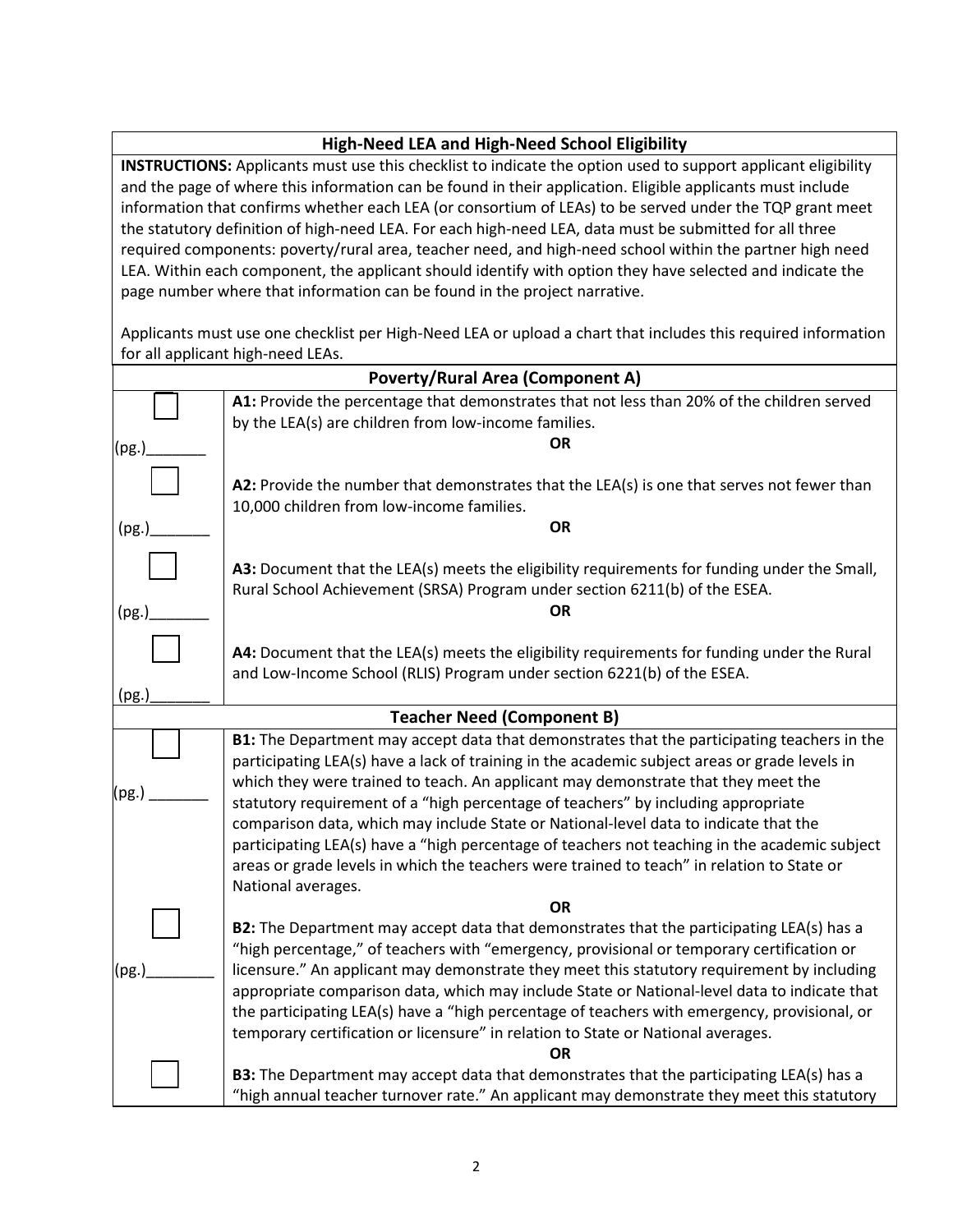## **High-Need LEA and High-Need School Eligibility**

**INSTRUCTIONS:** Applicants must use this checklist to indicate the option used to support applicant eligibility and the page of where this information can be found in their application. Eligible applicants must include information that confirms whether each LEA (or consortium of LEAs) to be served under the TQP grant meet the statutory definition of high-need LEA. For each high-need LEA, data must be submitted for all three required components: poverty/rural area, teacher need, and high-need school within the partner high need LEA. Within each component, the applicant should identify with option they have selected and indicate the page number where that information can be found in the project narrative.

Applicants must use one checklist per High-Need LEA or upload a chart that includes this required information for all applicant high-need LEAs.

| <b>Poverty/Rural Area (Component A)</b> |                                                                                                                                                                                                                                                                                                                                                                                                                                                                                                                                                                                                                                                                                     |
|-----------------------------------------|-------------------------------------------------------------------------------------------------------------------------------------------------------------------------------------------------------------------------------------------------------------------------------------------------------------------------------------------------------------------------------------------------------------------------------------------------------------------------------------------------------------------------------------------------------------------------------------------------------------------------------------------------------------------------------------|
|                                         | A1: Provide the percentage that demonstrates that not less than 20% of the children served<br>by the LEA(s) are children from low-income families.                                                                                                                                                                                                                                                                                                                                                                                                                                                                                                                                  |
| (pg.)                                   | <b>OR</b>                                                                                                                                                                                                                                                                                                                                                                                                                                                                                                                                                                                                                                                                           |
| (pg.)                                   | A2: Provide the number that demonstrates that the LEA(s) is one that serves not fewer than<br>10,000 children from low-income families.<br>OR                                                                                                                                                                                                                                                                                                                                                                                                                                                                                                                                       |
| (pg.)                                   | A3: Document that the LEA(s) meets the eligibility requirements for funding under the Small,<br>Rural School Achievement (SRSA) Program under section 6211(b) of the ESEA.<br><b>OR</b>                                                                                                                                                                                                                                                                                                                                                                                                                                                                                             |
| (pg.)                                   | A4: Document that the LEA(s) meets the eligibility requirements for funding under the Rural<br>and Low-Income School (RLIS) Program under section 6221(b) of the ESEA.                                                                                                                                                                                                                                                                                                                                                                                                                                                                                                              |
| <b>Teacher Need (Component B)</b>       |                                                                                                                                                                                                                                                                                                                                                                                                                                                                                                                                                                                                                                                                                     |
| (pg.)                                   | B1: The Department may accept data that demonstrates that the participating teachers in the<br>participating LEA(s) have a lack of training in the academic subject areas or grade levels in<br>which they were trained to teach. An applicant may demonstrate that they meet the<br>statutory requirement of a "high percentage of teachers" by including appropriate<br>comparison data, which may include State or National-level data to indicate that the<br>participating LEA(s) have a "high percentage of teachers not teaching in the academic subject<br>areas or grade levels in which the teachers were trained to teach" in relation to State or<br>National averages. |
|                                         | <b>OR</b>                                                                                                                                                                                                                                                                                                                                                                                                                                                                                                                                                                                                                                                                           |
| (pg.)                                   | B2: The Department may accept data that demonstrates that the participating LEA(s) has a<br>"high percentage," of teachers with "emergency, provisional or temporary certification or<br>licensure." An applicant may demonstrate they meet this statutory requirement by including<br>appropriate comparison data, which may include State or National-level data to indicate that<br>the participating LEA(s) have a "high percentage of teachers with emergency, provisional, or<br>temporary certification or licensure" in relation to State or National averages.<br>OR                                                                                                       |
|                                         | B3: The Department may accept data that demonstrates that the participating LEA(s) has a                                                                                                                                                                                                                                                                                                                                                                                                                                                                                                                                                                                            |
|                                         | "high annual teacher turnover rate." An applicant may demonstrate they meet this statutory                                                                                                                                                                                                                                                                                                                                                                                                                                                                                                                                                                                          |